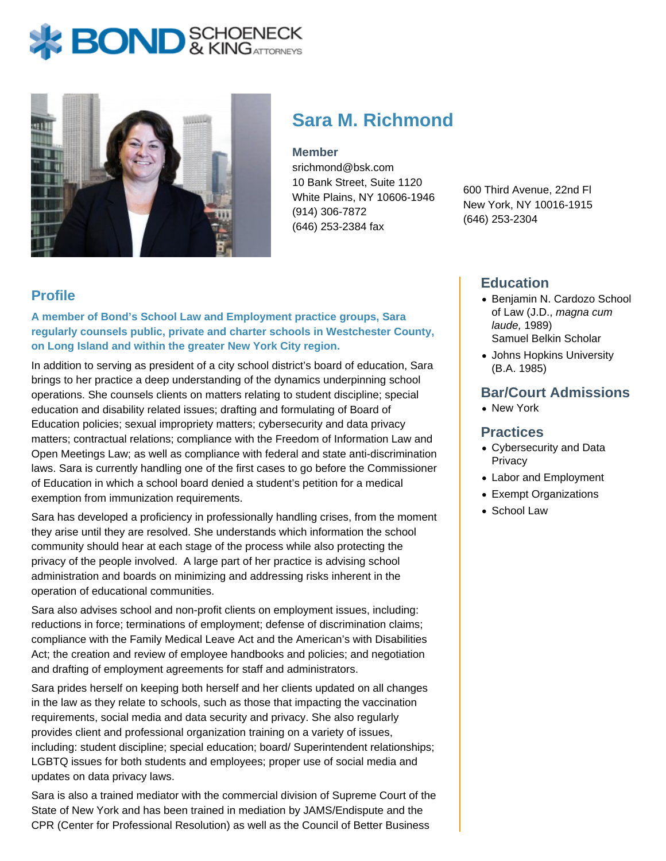# **BOND** & KINGATTORNECK



# **Sara M. Richmond**

#### **Member**

srichmond@bsk.com 10 Bank Street, Suite 1120 White Plains, NY 10606-1946 (914) 306-7872 (646) 253-2384 fax

600 Third Avenue, 22nd Fl New York, NY 10016-1915 (646) 253-2304

### **Profile**

**A member of Bond's School Law and Employment practice groups, Sara regularly counsels public, private and charter schools in Westchester County, on Long Island and within the greater New York City region.** 

In addition to serving as president of a city school district's board of education, Sara brings to her practice a deep understanding of the dynamics underpinning school operations. She counsels clients on matters relating to student discipline; special education and disability related issues; drafting and formulating of Board of Education policies; sexual impropriety matters; cybersecurity and data privacy matters; contractual relations; compliance with the Freedom of Information Law and Open Meetings Law; as well as compliance with federal and state anti-discrimination laws. Sara is currently handling one of the first cases to go before the Commissioner of Education in which a school board denied a student's petition for a medical exemption from immunization requirements.

Sara has developed a proficiency in professionally handling crises, from the moment they arise until they are resolved. She understands which information the school community should hear at each stage of the process while also protecting the privacy of the people involved. A large part of her practice is advising school administration and boards on minimizing and addressing risks inherent in the operation of educational communities.

Sara also advises school and non-profit clients on employment issues, including: reductions in force; terminations of employment; defense of discrimination claims; compliance with the Family Medical Leave Act and the American's with Disabilities Act; the creation and review of employee handbooks and policies; and negotiation and drafting of employment agreements for staff and administrators.

Sara prides herself on keeping both herself and her clients updated on all changes in the law as they relate to schools, such as those that impacting the vaccination requirements, social media and data security and privacy. She also regularly provides client and professional organization training on a variety of issues, including: student discipline; special education; board/ Superintendent relationships; LGBTQ issues for both students and employees; proper use of social media and updates on data privacy laws.

Sara is also a trained mediator with the commercial division of Supreme Court of the State of New York and has been trained in mediation by JAMS/Endispute and the CPR (Center for Professional Resolution) as well as the Council of Better Business

## **Education**

- Benjamin N. Cardozo School of Law (J.D., magna cum laude, 1989) Samuel Belkin Scholar
- Johns Hopkins University (B.A. 1985)

#### **Bar/Court Admissions**

• New York

#### **Practices**

- Cybersecurity and Data Privacy
- Labor and Employment
- Exempt Organizations
- School Law